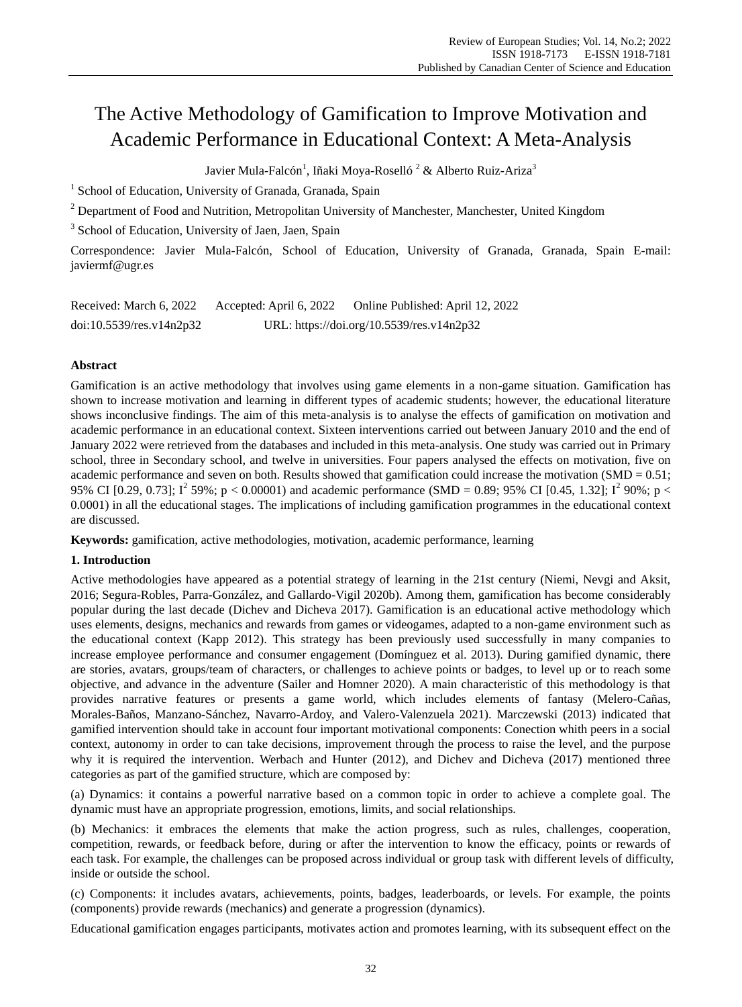# The Active Methodology of Gamification to Improve Motivation and Academic Performance in Educational Context: A Meta-Analysis

Javier Mula-Falcón<sup>1</sup>, Iñaki Moya-Roselló<sup>2</sup> & Alberto Ruiz-Ariza<sup>3</sup>

<sup>1</sup> School of Education, University of Granada, Granada, Spain

<sup>2</sup> Department of Food and Nutrition, Metropolitan University of Manchester, Manchester, United Kingdom

<sup>3</sup> School of Education, University of Jaen, Jaen, Spain

Correspondence: Javier Mula-Falcón, School of Education, University of Granada, Granada, Spain E-mail: javiermf@ugr.es

| Received: March 6, 2022     | Accepted: April 6, 2022 | Online Published: April 12, 2022          |
|-----------------------------|-------------------------|-------------------------------------------|
| $doi:10.5539$ /res.v14n2p32 |                         | URL: https://doi.org/10.5539/res.v14n2p32 |

## **Abstract**

Gamification is an active methodology that involves using game elements in a non-game situation. Gamification has shown to increase motivation and learning in different types of academic students; however, the educational literature shows inconclusive findings. The aim of this meta-analysis is to analyse the effects of gamification on motivation and academic performance in an educational context. Sixteen interventions carried out between January 2010 and the end of January 2022 were retrieved from the databases and included in this meta-analysis. One study was carried out in Primary school, three in Secondary school, and twelve in universities. Four papers analysed the effects on motivation, five on academic performance and seven on both. Results showed that gamification could increase the motivation (SMD =  $0.51$ ; 95% CI [0.29, 0.73];  $I^2$  59%; p < 0.00001) and academic performance (SMD = 0.89; 95% CI [0.45, 1.32];  $I^2$  90%; p < 0.0001) in all the educational stages. The implications of including gamification programmes in the educational context are discussed.

**Keywords:** gamification, active methodologies, motivation, academic performance, learning

# **1. Introduction**

Active methodologies have appeared as a potential strategy of learning in the 21st century (Niemi, Nevgi and Aksit, 2016; Segura-Robles, Parra-González, and Gallardo-Vigil 2020b). Among them, gamification has become considerably popular during the last decade (Dichev and Dicheva 2017). Gamification is an educational active methodology which uses elements, designs, mechanics and rewards from games or videogames, adapted to a non-game environment such as the educational context (Kapp 2012). This strategy has been previously used successfully in many companies to increase employee performance and consumer engagement (Dom nguez et al. 2013). During gamified dynamic, there are stories, avatars, groups/team of characters, or challenges to achieve points or badges, to level up or to reach some objective, and advance in the adventure (Sailer and Homner 2020). A main characteristic of this methodology is that provides narrative features or presents a game world, which includes elements of fantasy (Melero-Cañas, Morales-Baños, Manzano-Sánchez, Navarro-Ardoy, and Valero-Valenzuela 2021). Marczewski (2013) indicated that gamified intervention should take in account four important motivational components: Conection whith peers in a social context, autonomy in order to can take decisions, improvement through the process to raise the level, and the purpose why it is required the intervention. Werbach and Hunter (2012), and Dichev and Dicheva (2017) mentioned three categories as part of the gamified structure, which are composed by:

(a) Dynamics: it contains a powerful narrative based on a common topic in order to achieve a complete goal. The dynamic must have an appropriate progression, emotions, limits, and social relationships.

(b) Mechanics: it embraces the elements that make the action progress, such as rules, challenges, cooperation, competition, rewards, or feedback before, during or after the intervention to know the efficacy, points or rewards of each task. For example, the challenges can be proposed across individual or group task with different levels of difficulty, inside or outside the school.

(c) Components: it includes avatars, achievements, points, badges, leaderboards, or levels. For example, the points (components) provide rewards (mechanics) and generate a progression (dynamics).

Educational gamification engages participants, motivates action and promotes learning, with its subsequent effect on the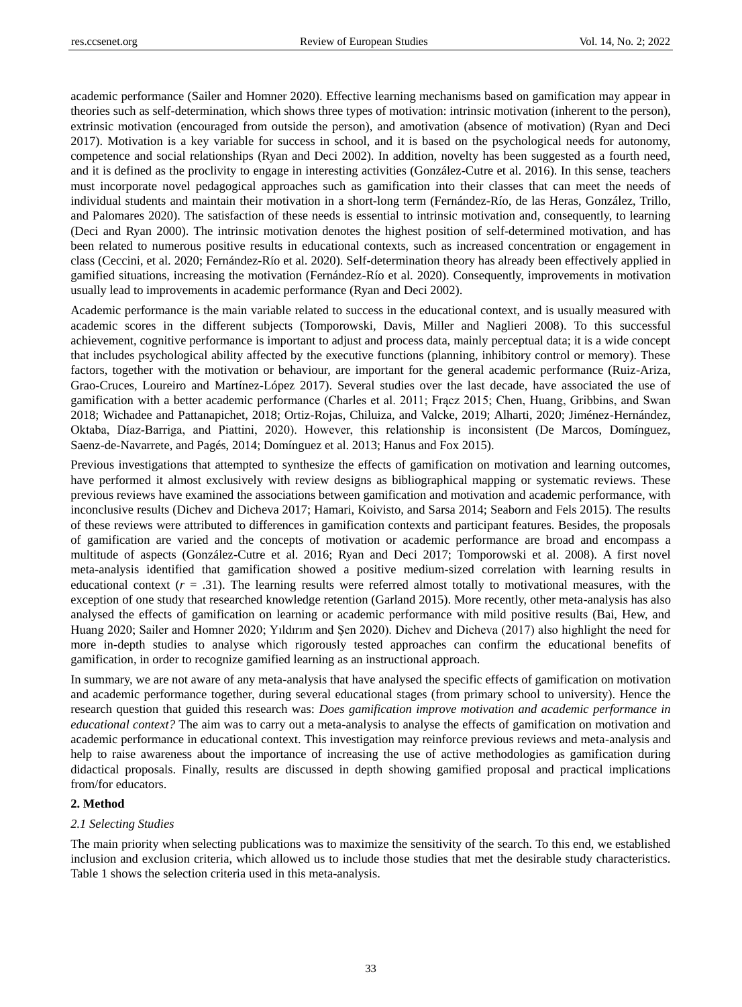academic performance (Sailer and Homner 2020). Effective learning mechanisms based on gamification may appear in theories such as self-determination, which shows three types of motivation: intrinsic motivation (inherent to the person), extrinsic motivation (encouraged from outside the person), and amotivation (absence of motivation) (Ryan and Deci 2017). Motivation is a key variable for success in school, and it is based on the psychological needs for autonomy, competence and social relationships (Ryan and Deci 2002). In addition, novelty has been suggested as a fourth need, and it is defined as the proclivity to engage in interesting activities (González-Cutre et al. 2016). In this sense, teachers must incorporate novel pedagogical approaches such as gamification into their classes that can meet the needs of individual students and maintain their motivation in a short-long term (Fern and ez-R p, de las Heras, González, Trillo, and Palomares 2020). The satisfaction of these needs is essential to intrinsic motivation and, consequently, to learning (Deci and Ryan 2000). The intrinsic motivation denotes the highest position of self-determined motivation, and has been related to numerous positive results in educational contexts, such as increased concentration or engagement in class (Ceccini, et al. 2020; Fernández-Río et al. 2020). Self-determination theory has already been effectively applied in gamified situations, increasing the motivation (Fern ández-R  $\acute{\text{o}}$  et al. 2020). Consequently, improvements in motivation usually lead to improvements in academic performance (Ryan and Deci 2002).

Academic performance is the main variable related to success in the educational context, and is usually measured with academic scores in the different subjects (Tomporowski, Davis, Miller and Naglieri 2008). To this successful achievement, cognitive performance is important to adjust and process data, mainly perceptual data; it is a wide concept that includes psychological ability affected by the executive functions (planning, inhibitory control or memory). These factors, together with the motivation or behaviour, are important for the general academic performance (Ruiz-Ariza, Grao-Cruces, Loureiro and Mart nez-López 2017). Several studies over the last decade, have associated the use of gamification with a better academic performance (Charles et al. 2011; Frącz 2015; Chen, Huang, Gribbins, and Swan 2018; Wichadee and Pattanapichet, 2018; Ortiz-Rojas, Chiluiza, and Valcke, 2019; Alharti, 2020; Jiménez-Hernández, Oktaba, Díaz‐Barriga, and Piattini, 2020). However, this relationship is inconsistent (De Marcos, Domínguez, Saenz-de-Navarrete, and Pagés, 2014; Domínguez et al. 2013; Hanus and Fox 2015).

Previous investigations that attempted to synthesize the effects of gamification on motivation and learning outcomes, have performed it almost exclusively with review designs as bibliographical mapping or systematic reviews. These previous reviews have examined the associations between gamification and motivation and academic performance, with inconclusive results (Dichev and Dicheva 2017; Hamari, Koivisto, and Sarsa 2014; Seaborn and Fels 2015). The results of these reviews were attributed to differences in gamification contexts and participant features. Besides, the proposals of gamification are varied and the concepts of motivation or academic performance are broad and encompass a multitude of aspects (González-Cutre et al. 2016; Ryan and Deci 2017; Tomporowski et al. 2008). A first novel meta-analysis identified that gamification showed a positive medium-sized correlation with learning results in educational context  $(r = .31)$ . The learning results were referred almost totally to motivational measures, with the exception of one study that researched knowledge retention (Garland 2015). More recently, other meta-analysis has also analysed the effects of gamification on learning or academic performance with mild positive results (Bai, Hew, and Huang 2020; Sailer and Homner 2020; Yıldırım and Şen 2020). Dichev and Dicheva (2017) also highlight the need for more in-depth studies to analyse which rigorously tested approaches can confirm the educational benefits of gamification, in order to recognize gamified learning as an instructional approach.

In summary, we are not aware of any meta-analysis that have analysed the specific effects of gamification on motivation and academic performance together, during several educational stages (from primary school to university). Hence the research question that guided this research was: *Does gamification improve motivation and academic performance in educational context?* The aim was to carry out a meta-analysis to analyse the effects of gamification on motivation and academic performance in educational context. This investigation may reinforce previous reviews and meta-analysis and help to raise awareness about the importance of increasing the use of active methodologies as gamification during didactical proposals. Finally, results are discussed in depth showing gamified proposal and practical implications from/for educators.

## **2. Method**

#### *2.1 Selecting Studies*

The main priority when selecting publications was to maximize the sensitivity of the search. To this end, we established inclusion and exclusion criteria, which allowed us to include those studies that met the desirable study characteristics. Table 1 shows the selection criteria used in this meta-analysis.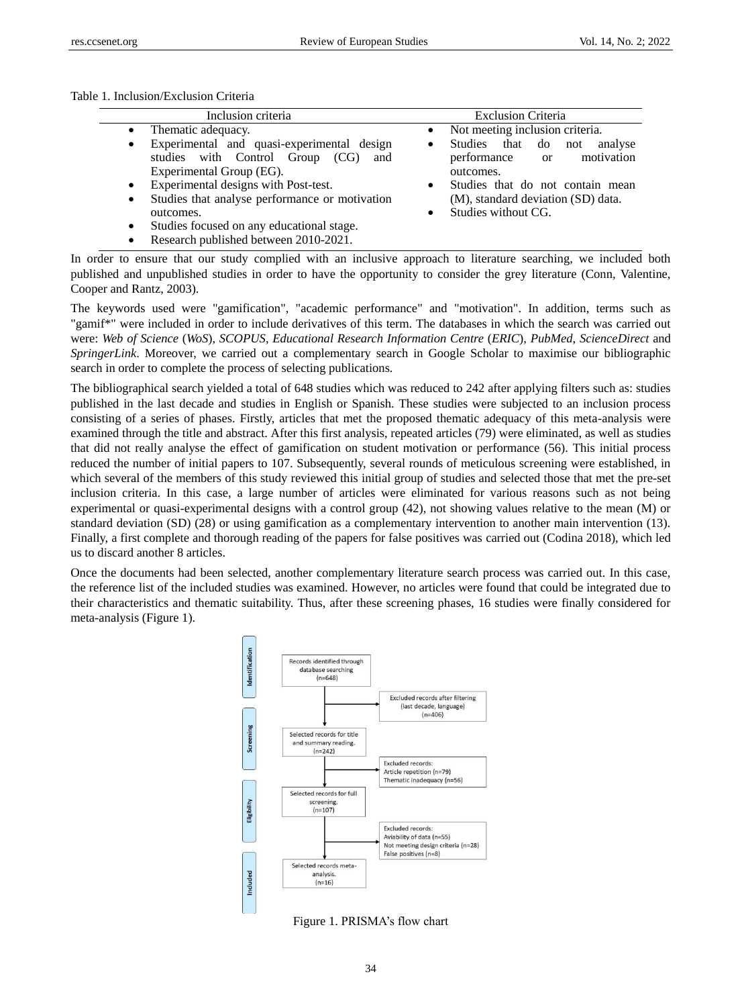Table 1. Inclusion/Exclusion Criteria

| Inclusion criteria                                                                                                                                                                                                                    | <b>Exclusion Criteria</b>                                                                                       |  |  |  |  |  |  |  |  |
|---------------------------------------------------------------------------------------------------------------------------------------------------------------------------------------------------------------------------------------|-----------------------------------------------------------------------------------------------------------------|--|--|--|--|--|--|--|--|
| Thematic adequacy.<br>$\bullet$                                                                                                                                                                                                       | Not meeting inclusion criteria.<br>$\bullet$                                                                    |  |  |  |  |  |  |  |  |
| Experimental and quasi-experimental design<br>$\bullet$<br>studies with Control Group<br>(CG)<br>and<br>Experimental Group (EG).                                                                                                      | Studies that do not<br>analyse<br>٠<br>motivation<br>performance<br><sub>or</sub><br>outcomes.                  |  |  |  |  |  |  |  |  |
| Experimental designs with Post-test.<br>$\bullet$<br>Studies that analyse performance or motivation<br>$\bullet$<br>outcomes.<br>Studies focused on any educational stage.<br>$\bullet$<br>Research published between 2010-2021.<br>٠ | Studies that do not contain mean<br>$\bullet$<br>(M), standard deviation (SD) data.<br>Studies without CG.<br>٠ |  |  |  |  |  |  |  |  |

In order to ensure that our study complied with an inclusive approach to literature searching, we included both published and unpublished studies in order to have the opportunity to consider the grey literature (Conn, Valentine, Cooper and Rantz, 2003).

The keywords used were "gamification", "academic performance" and "motivation". In addition, terms such as "gamif\*" were included in order to include derivatives of this term. The databases in which the search was carried out were: *Web of Science* (*WoS*), *SCOPUS*, *Educational Research Information Centre* (*ERIC*), *PubMed*, *ScienceDirect* and *SpringerLink*. Moreover, we carried out a complementary search in Google Scholar to maximise our bibliographic search in order to complete the process of selecting publications.

The bibliographical search yielded a total of 648 studies which was reduced to 242 after applying filters such as: studies published in the last decade and studies in English or Spanish. These studies were subjected to an inclusion process consisting of a series of phases. Firstly, articles that met the proposed thematic adequacy of this meta-analysis were examined through the title and abstract. After this first analysis, repeated articles (79) were eliminated, as well as studies that did not really analyse the effect of gamification on student motivation or performance (56). This initial process reduced the number of initial papers to 107. Subsequently, several rounds of meticulous screening were established, in which several of the members of this study reviewed this initial group of studies and selected those that met the pre-set inclusion criteria. In this case, a large number of articles were eliminated for various reasons such as not being experimental or quasi-experimental designs with a control group (42), not showing values relative to the mean (M) or standard deviation (SD) (28) or using gamification as a complementary intervention to another main intervention (13). Finally, a first complete and thorough reading of the papers for false positives was carried out (Codina 2018), which led us to discard another 8 articles.

Once the documents had been selected, another complementary literature search process was carried out. In this case, the reference list of the included studies was examined. However, no articles were found that could be integrated due to their characteristics and thematic suitability. Thus, after these screening phases, 16 studies were finally considered for meta-analysis (Figure 1).



Figure 1. PRISMA's flow chart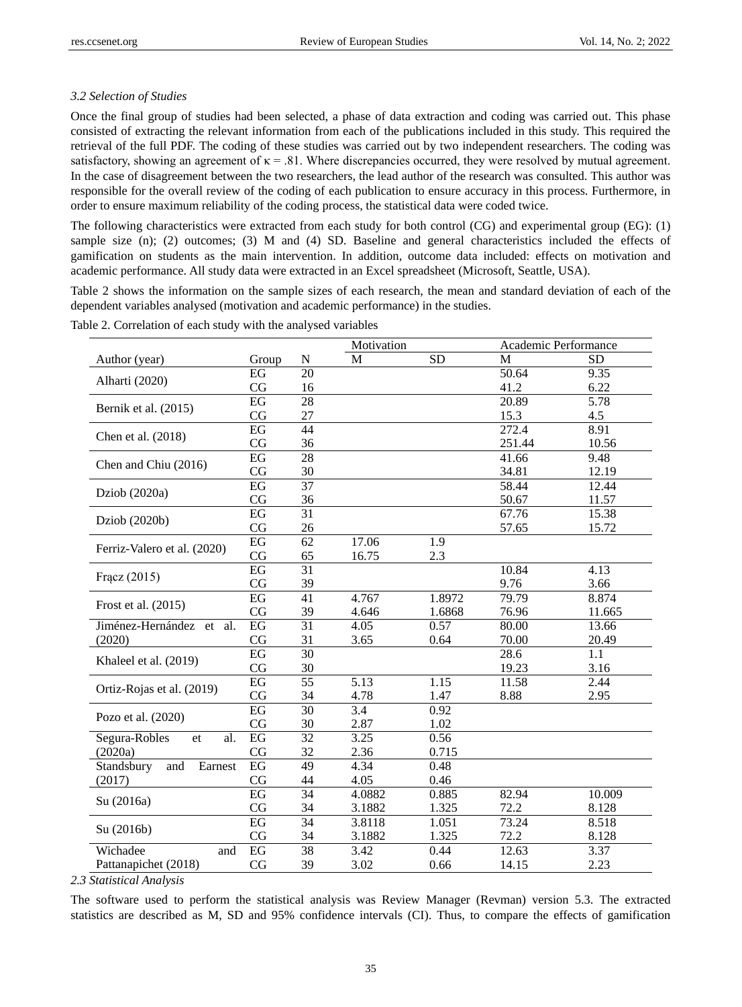## *3.2 Selection of Studies*

Once the final group of studies had been selected, a phase of data extraction and coding was carried out. This phase consisted of extracting the relevant information from each of the publications included in this study. This required the retrieval of the full PDF. The coding of these studies was carried out by two independent researchers. The coding was satisfactory, showing an agreement of  $\kappa = .81$ . Where discrepancies occurred, they were resolved by mutual agreement. In the case of disagreement between the two researchers, the lead author of the research was consulted. This author was responsible for the overall review of the coding of each publication to ensure accuracy in this process. Furthermore, in order to ensure maximum reliability of the coding process, the statistical data were coded twice.

The following characteristics were extracted from each study for both control (CG) and experimental group (EG): (1) sample size (n); (2) outcomes; (3) M and (4) SD. Baseline and general characteristics included the effects of gamification on students as the main intervention. In addition, outcome data included: effects on motivation and academic performance. All study data were extracted in an Excel spreadsheet (Microsoft, Seattle, USA).

Table 2 shows the information on the sample sizes of each research, the mean and standard deviation of each of the dependent variables analysed (motivation and academic performance) in the studies.

|                                  |                 |                 | Motivation        |           |        | Academic Performance |  |  |
|----------------------------------|-----------------|-----------------|-------------------|-----------|--------|----------------------|--|--|
| Author (year)                    | Group           | N               | M                 | <b>SD</b> | M      | <b>SD</b>            |  |  |
|                                  | EG              | 20              |                   |           | 50.64  | 9.35                 |  |  |
| Alharti (2020)                   | CG              | 16              |                   |           | 41.2   | 6.22                 |  |  |
|                                  | EG              | 28              |                   |           | 20.89  | $\overline{5.78}$    |  |  |
| Bernik et al. (2015)             | CG              | 27              |                   |           | 15.3   | 4.5                  |  |  |
|                                  | EG              | 44              |                   |           | 272.4  | 8.91                 |  |  |
| Chen et al. (2018)               | CG              | 36              |                   |           | 251.44 | 10.56                |  |  |
|                                  | EG              | 28              |                   |           | 41.66  | 9.48                 |  |  |
| Chen and Chiu (2016)             | CG              | 30              |                   |           | 34.81  | 12.19                |  |  |
|                                  | EG              | $\overline{37}$ |                   |           | 58.44  | 12.44                |  |  |
| Dziob (2020a)                    | CG              | 36              |                   |           | 50.67  | 11.57                |  |  |
|                                  | EG              | $\overline{31}$ |                   |           | 67.76  | 15.38                |  |  |
| Dziob (2020b)                    | CG              | 26              |                   |           | 57.65  | 15.72                |  |  |
|                                  | EG              | 62              | 17.06             | 1.9       |        |                      |  |  |
| Ferriz-Valero et al. (2020)      | CG              | 65              | 16.75             | 2.3       |        |                      |  |  |
|                                  | EG              | $\overline{31}$ |                   |           | 10.84  | 4.13                 |  |  |
| Fracz (2015)                     | CG              | 39              |                   |           | 9.76   | 3.66                 |  |  |
|                                  | EG              | $\overline{41}$ | 4.767             | 1.8972    | 79.79  | 8.874                |  |  |
| Frost et al. (2015)              | CG              | 39              | 4.646             | 1.6868    | 76.96  | 11.665               |  |  |
| Jim énez-Hern ández<br>al.<br>et | $\overline{EG}$ | $\overline{31}$ | 4.05              | 0.57      | 80.00  | 13.66                |  |  |
| (2020)                           | CG              | 31              | 3.65              | 0.64      | 70.00  | 20.49                |  |  |
|                                  | $\overline{EG}$ | $\overline{30}$ |                   |           | 28.6   | 1.1                  |  |  |
| Khaleel et al. (2019)            | CG              | 30              |                   |           | 19.23  | 3.16                 |  |  |
|                                  | EG              | $\overline{55}$ | $\overline{5.13}$ | 1.15      | 11.58  | 2.44                 |  |  |
| Ortiz-Rojas et al. (2019)        | CG              | 34              | 4.78              | 1.47      | 8.88   | 2.95                 |  |  |
|                                  | $\overline{EG}$ | 30              | 3.4               | 0.92      |        |                      |  |  |
| Pozo et al. (2020)               | CG              | 30              | 2.87              | 1.02      |        |                      |  |  |
| Segura-Robles<br>al.<br>et       | EG              | $\overline{32}$ | 3.25              | 0.56      |        |                      |  |  |
| (2020a)                          | CG              | 32              | 2.36              | 0.715     |        |                      |  |  |
| Standsbury<br>and<br>Earnest     | EG              | 49              | 4.34              | 0.48      |        |                      |  |  |
| (2017)                           | CG              | 44              | 4.05              | 0.46      |        |                      |  |  |
|                                  | EG              | $\overline{34}$ | 4.0882            | 0.885     | 82.94  | 10.009               |  |  |
| Su (2016a)                       | CG              | 34              | 3.1882            | 1.325     | 72.2   | 8.128                |  |  |
|                                  | EG              | $\overline{34}$ | 3.8118            | 1.051     | 73.24  | 8.518                |  |  |
| Su (2016b)                       | CG              | 34              | 3.1882            | 1.325     | 72.2   | 8.128                |  |  |
| Wichadee<br>and                  | EG              | $\overline{38}$ | $\overline{3.42}$ | 0.44      | 12.63  | 3.37                 |  |  |
| Pattanapichet (2018)             | CG              | 39              | 3.02              | 0.66      | 14.15  | 2.23                 |  |  |

Table 2. Correlation of each study with the analysed variables

*2.3 Statistical Analysis*

The software used to perform the statistical analysis was Review Manager (Revman) version 5.3. The extracted statistics are described as M, SD and 95% confidence intervals (CI). Thus, to compare the effects of gamification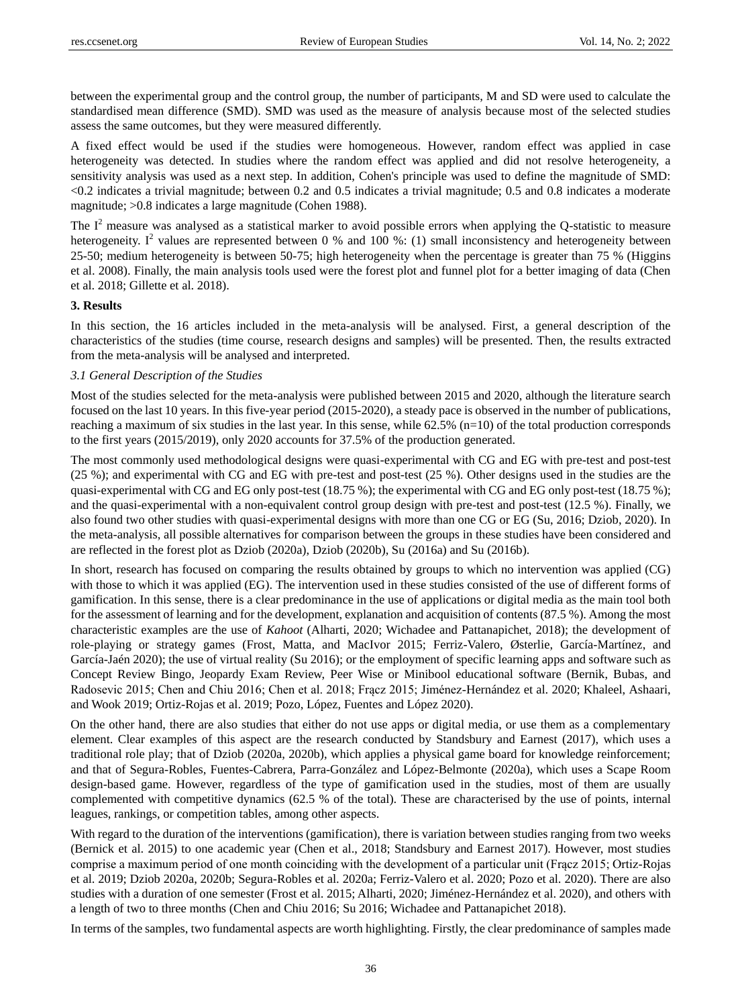between the experimental group and the control group, the number of participants, M and SD were used to calculate the standardised mean difference (SMD). SMD was used as the measure of analysis because most of the selected studies assess the same outcomes, but they were measured differently.

A fixed effect would be used if the studies were homogeneous. However, random effect was applied in case heterogeneity was detected. In studies where the random effect was applied and did not resolve heterogeneity, a sensitivity analysis was used as a next step. In addition, Cohen's principle was used to define the magnitude of SMD: <0.2 indicates a trivial magnitude; between 0.2 and 0.5 indicates a trivial magnitude; 0.5 and 0.8 indicates a moderate magnitude; >0.8 indicates a large magnitude (Cohen 1988).

The  $I<sup>2</sup>$  measure was analysed as a statistical marker to avoid possible errors when applying the Q-statistic to measure heterogeneity. I<sup>2</sup> values are represented between 0 % and 100 %: (1) small inconsistency and heterogeneity between 25-50; medium heterogeneity is between 50-75; high heterogeneity when the percentage is greater than 75 % (Higgins et al. 2008). Finally, the main analysis tools used were the forest plot and funnel plot for a better imaging of data (Chen et al. 2018; Gillette et al. 2018).

## **3. Results**

In this section, the 16 articles included in the meta-analysis will be analysed. First, a general description of the characteristics of the studies (time course, research designs and samples) will be presented. Then, the results extracted from the meta-analysis will be analysed and interpreted.

## *3.1 General Description of the Studies*

Most of the studies selected for the meta-analysis were published between 2015 and 2020, although the literature search focused on the last 10 years. In this five-year period (2015-2020), a steady pace is observed in the number of publications, reaching a maximum of six studies in the last year. In this sense, while  $62.5\%$  (n=10) of the total production corresponds to the first years (2015/2019), only 2020 accounts for 37.5% of the production generated.

The most commonly used methodological designs were quasi-experimental with CG and EG with pre-test and post-test (25 %); and experimental with CG and EG with pre-test and post-test (25 %). Other designs used in the studies are the quasi-experimental with CG and EG only post-test (18.75 %); the experimental with CG and EG only post-test (18.75 %); and the quasi-experimental with a non-equivalent control group design with pre-test and post-test (12.5 %). Finally, we also found two other studies with quasi-experimental designs with more than one CG or EG (Su, 2016; Dziob, 2020). In the meta-analysis, all possible alternatives for comparison between the groups in these studies have been considered and are reflected in the forest plot as Dziob (2020a), Dziob (2020b), Su (2016a) and Su (2016b).

In short, research has focused on comparing the results obtained by groups to which no intervention was applied (CG) with those to which it was applied (EG). The intervention used in these studies consisted of the use of different forms of gamification. In this sense, there is a clear predominance in the use of applications or digital media as the main tool both for the assessment of learning and for the development, explanation and acquisition of contents (87.5 %). Among the most characteristic examples are the use of *Kahoot* (Alharti, 2020; Wichadee and Pattanapichet, 2018); the development of role-playing or strategy games (Frost, Matta, and MacIvor 2015; Ferriz-Valero, Østerlie, Garc á-Martínez, and Garc á-Ja én 2020); the use of virtual reality (Su 2016); or the employment of specific learning apps and software such as Concept Review Bingo, Jeopardy Exam Review, Peer Wise or Minibool educational software (Bernik, Bubas, and Radosevic 2015; Chen and Chiu 2016; Chen et al. 2018; Frącz 2015; Jiménez-Hernández et al. 2020; Khaleel, Ashaari, and Wook 2019; Ortiz-Rojas et al. 2019; Pozo, López, Fuentes and López 2020).

On the other hand, there are also studies that either do not use apps or digital media, or use them as a complementary element. Clear examples of this aspect are the research conducted by Standsbury and Earnest (2017), which uses a traditional role play; that of Dziob (2020a, 2020b), which applies a physical game board for knowledge reinforcement; and that of Segura-Robles, Fuentes-Cabrera, Parra-González and López-Belmonte (2020a), which uses a Scape Room design-based game. However, regardless of the type of gamification used in the studies, most of them are usually complemented with competitive dynamics (62.5 % of the total). These are characterised by the use of points, internal leagues, rankings, or competition tables, among other aspects.

With regard to the duration of the interventions (gamification), there is variation between studies ranging from two weeks (Bernick et al. 2015) to one academic year (Chen et al., 2018; Standsbury and Earnest 2017). However, most studies comprise a maximum period of one month coinciding with the development of a particular unit (Frącz 2015; Ortiz-Rojas et al. 2019; Dziob 2020a, 2020b; Segura-Robles et al. 2020a; Ferriz-Valero et al. 2020; Pozo et al. 2020). There are also studies with a duration of one semester (Frost et al. 2015; Alharti, 2020; Jiménez-Hernández et al. 2020), and others with a length of two to three months (Chen and Chiu 2016; Su 2016; Wichadee and Pattanapichet 2018).

In terms of the samples, two fundamental aspects are worth highlighting. Firstly, the clear predominance of samples made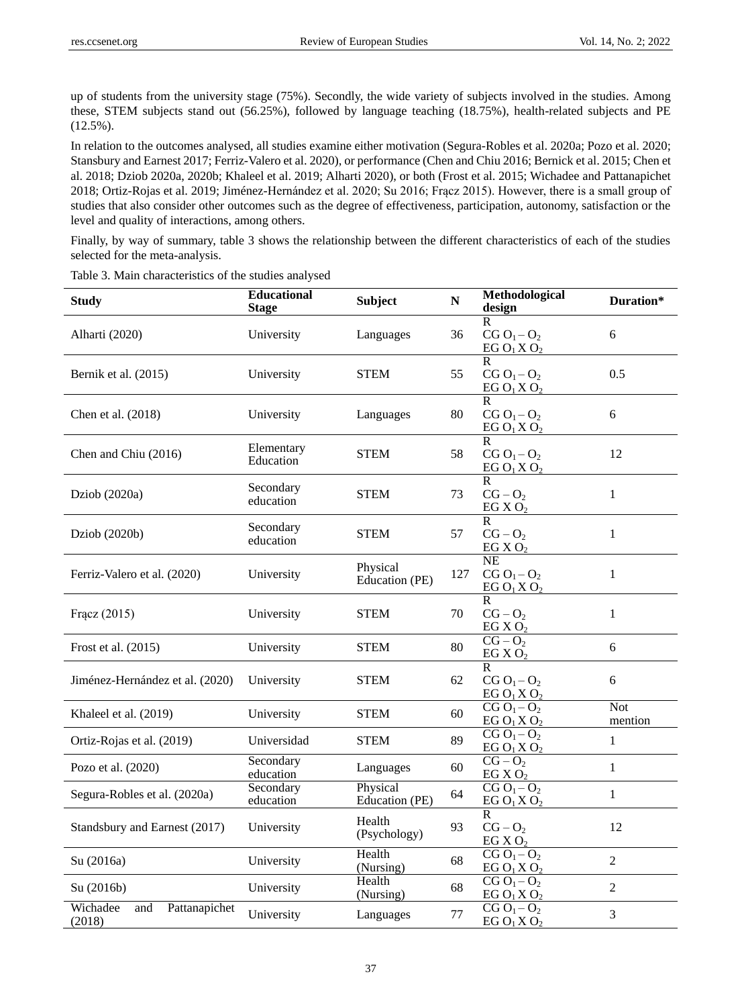up of students from the university stage (75%). Secondly, the wide variety of subjects involved in the studies. Among these, STEM subjects stand out (56.25%), followed by language teaching (18.75%), health-related subjects and PE  $(12.5\%)$ .

In relation to the outcomes analysed, all studies examine either motivation (Segura-Robles et al. 2020a; Pozo et al. 2020; Stansbury and Earnest 2017; Ferriz-Valero et al. 2020), or performance (Chen and Chiu 2016; Bernick et al. 2015; Chen et al. 2018; Dziob 2020a, 2020b; Khaleel et al. 2019; Alharti 2020), or both (Frost et al. 2015; Wichadee and Pattanapichet 2018; Ortiz-Rojas et al. 2019; Jiménez-Hernández et al. 2020; Su 2016; Frącz 2015). However, there is a small group of studies that also consider other outcomes such as the degree of effectiveness, participation, autonomy, satisfaction or the level and quality of interactions, among others.

Finally, by way of summary, table 3 shows the relationship between the different characteristics of each of the studies selected for the meta-analysis.

| <b>Study</b>                               | <b>Educational</b><br><b>Stage</b> | <b>Subject</b>             | ${\bf N}$ | Methodological<br>design                                   | Duration*      |
|--------------------------------------------|------------------------------------|----------------------------|-----------|------------------------------------------------------------|----------------|
| Alharti (2020)                             | University                         | Languages                  | 36        | R<br>$CGO1-O2$<br>EG $O_1XO_2$                             | 6              |
| Bernik et al. (2015)                       | University                         | <b>STEM</b>                | 55        | $\overline{R}$<br>$CG O1 - O2$<br>EG $O_1XO_2$             | 0.5            |
| Chen et al. (2018)                         | University                         | Languages                  | 80        | $\overline{R}$<br>$CG O1-O2$<br>EG $O_1XO_2$               | 6              |
| Chen and Chiu (2016)                       | Elementary<br>Education            | STEM                       | 58        | $\mathsf{R}$<br>$CG O1 - O2$<br>EG $O_1XO_2$               | 12             |
| Dziob (2020a)                              | Secondary<br>education             | <b>STEM</b>                | 73        | $\mathsf{R}$<br>$CG - O2$<br>EG X $O_2$                    | 1              |
| Dziob (2020b)                              | Secondary<br>education             | <b>STEM</b>                | 57        | $\overline{R}$<br>$CG - O2$<br>EG X $O_2$                  | $\mathbf{1}$   |
| Ferriz-Valero et al. (2020)                | University                         | Physical<br>Education (PE) | 127       | <b>NE</b><br>$CGO1-O2$<br>EGO <sub>1</sub> XO <sub>2</sub> | 1              |
| Fracz (2015)                               | University                         | STEM                       | 70        | $\overline{R}$<br>$CG - O2$<br>EG X $O_2$                  | 1              |
| Frost et al. (2015)                        | University                         | <b>STEM</b>                | 80        | $CG - O2$<br>EG X $O_2$                                    | 6              |
| Jim énez-Hern ández et al. (2020)          | University                         | <b>STEM</b>                | 62        | R.<br>$CG O1 - O2$<br>EGO <sub>1</sub> XO <sub>2</sub>     | 6              |
| Khaleel et al. (2019)                      | University                         | <b>STEM</b>                | 60        | $CG O1 - O2$<br>EG $O_1 X O_2$                             | Not<br>mention |
| Ortiz-Rojas et al. (2019)                  | Universidad                        | <b>STEM</b>                | 89        | $CG O1 - O2$<br>EG $O_1XO_2$                               | $\mathbf{1}$   |
| Pozo et al. (2020)                         | Secondary<br>education             | Languages                  | 60        | $CG - O2$<br>EG X O <sub>2</sub>                           | $\mathbf{1}$   |
| Segura-Robles et al. (2020a)               | Secondary<br>education             | Physical<br>Education (PE) | 64        | $C\overline{GO_1-O_2}$<br>EG $O_1XO_2$                     | $\mathbf{1}$   |
| Standsbury and Earnest (2017)              | University                         | Health<br>(Psychology)     | 93        | $\mathsf{R}$<br>$CG - O2$<br>EG X O <sub>2</sub>           | 12             |
| Su (2016a)                                 | University                         | Health<br>(Nursing)        | 68        | $CG O1 - O2$<br>EGO <sub>1</sub> XO <sub>2</sub>           | $\overline{2}$ |
| Su (2016b)                                 | University                         | Health<br>(Nursing)        | 68        | $CG O1 - O2$<br>EGO <sub>1</sub> XO <sub>2</sub>           | $\overline{2}$ |
| Wichadee<br>Pattanapichet<br>and<br>(2018) | University                         | Languages                  | 77        | $CG O1 - O2$<br>EGO <sub>1</sub> XO <sub>2</sub>           | 3              |

Table 3. Main characteristics of the studies analysed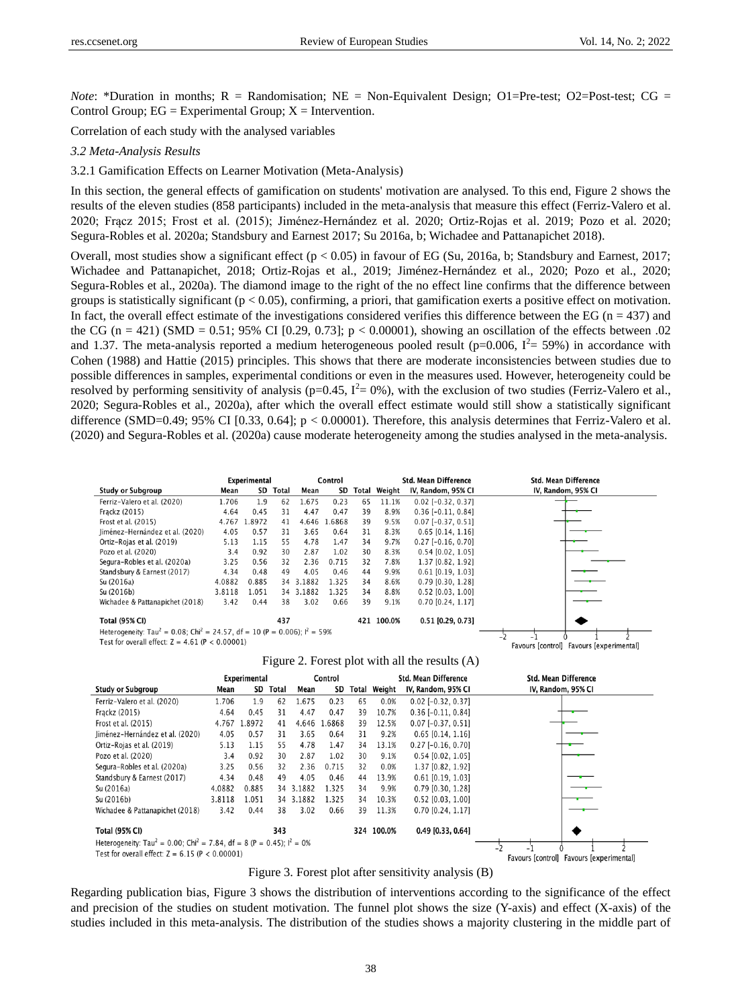Favours [control] Favours [experimental]

*Note*: \*Duration in months;  $R =$  Randomisation;  $NE =$  Non-Equivalent Design; O1=Pre-test; O2=Post-test; CG = Control Group;  $EG = Experimental Group$ ;  $X = Intervention$ .

Correlation of each study with the analysed variables

#### *3.2 Meta-Analysis Results*

3.2.1 Gamification Effects on Learner Motivation (Meta-Analysis)

In this section, the general effects of gamification on students' motivation are analysed. To this end, Figure 2 shows the results of the eleven studies (858 participants) included in the meta-analysis that measure this effect (Ferriz-Valero et al. 2020; Frącz 2015; Frost et al. (2015); Jiménez-Hernández et al. 2020; Ortiz-Rojas et al. 2019; Pozo et al. 2020; Segura-Robles et al. 2020a; Standsbury and Earnest 2017; Su 2016a, b; Wichadee and Pattanapichet 2018).

Overall, most studies show a significant effect  $(p < 0.05)$  in favour of EG (Su, 2016a, b; Standsbury and Earnest, 2017; Wichadee and Pattanapichet, 2018; Ortiz-Rojas et al., 2019; Jiménez-Hernández et al., 2020; Pozo et al., 2020; Segura-Robles et al., 2020a). The diamond image to the right of the no effect line confirms that the difference between groups is statistically significant ( $p < 0.05$ ), confirming, a priori, that gamification exerts a positive effect on motivation. In fact, the overall effect estimate of the investigations considered verifies this difference between the EG ( $n = 437$ ) and the CG (n = 421) (SMD = 0.51; 95% CI [0.29, 0.73];  $p < 0.00001$ ), showing an oscillation of the effects between .02 and 1.37. The meta-analysis reported a medium heterogeneous pooled result ( $p=0.006$ ,  $I^2=59%$ ) in accordance with Cohen (1988) and Hattie (2015) principles. This shows that there are moderate inconsistencies between studies due to possible differences in samples, experimental conditions or even in the measures used. However, heterogeneity could be resolved by performing sensitivity of analysis ( $p=0.45$ ,  $I^2=0\%$ ), with the exclusion of two studies (Ferriz-Valero et al., 2020; Segura-Robles et al., 2020a), after which the overall effect estimate would still show a statistically significant difference (SMD=0.49; 95% CI [0.33, 0.64]; p < 0.00001). Therefore, this analysis determines that Ferriz-Valero et al. (2020) and Segura-Robles et al. (2020a) cause moderate heterogeneity among the studies analysed in the meta-analysis.

|                                                                                                    | Experimental |       |       |        | Control |       |        | <b>Std. Mean Difference</b> | <b>Std. Mean Difference</b> |
|----------------------------------------------------------------------------------------------------|--------------|-------|-------|--------|---------|-------|--------|-----------------------------|-----------------------------|
| <b>Study or Subgroup</b>                                                                           | Mean         | SD    | Total | Mean   | SD      | Total | Weight | IV, Random, 95% CI          | IV, Random, 95% CI          |
| Ferriz-Valero et al. (2020)                                                                        | 1.706        | 1.9   | 62    | 1.675  | 0.23    | 65    | 11.1%  | $0.02$ [-0.32, 0.37]        |                             |
| Frackz (2015)                                                                                      | 4.64         | 0.45  | 31    | 4.47   | 0.47    | 39    | 8.9%   | $0.36$ [-0.11, 0.84]        |                             |
| Frost et al. (2015)                                                                                | 4.767        | .8972 | 41    | 4.646  | .6868   | 39    | 9.5%   | $0.07$ [-0.37, 0.51]        |                             |
| Jiménez-Hernández et al. (2020)                                                                    | 4.05         | 0.57  | 31    | 3.65   | 0.64    | 31    | 8.3%   | $0.65$ [0.14, 1.16]         |                             |
| Ortiz-Rojas et al. (2019)                                                                          | 5.13         | 1.15  | 55    | 4.78   | 1.47    | 34    | 9.7%   | $0.27$ [-0.16, 0.70]        |                             |
| Pozo et al. (2020)                                                                                 | 3.4          | 0.92  | 30    | 2.87   | 1.02    | 30    | 8.3%   | $0.54$ [0.02, 1.05]         |                             |
| Segura-Robles et al. (2020a)                                                                       | 3.25         | 0.56  | 32    | 2.36   | 0.715   | 32    | 7.8%   | 1.37 [0.82, 1.92]           |                             |
| Standsbury & Earnest (2017)                                                                        | 4.34         | 0.48  | 49    | 4.05   | 0.46    | 44    | 9.9%   | $0.61$ [0.19, 1.03]         |                             |
| Su (2016a)                                                                                         | 4.0882       | 0.885 | 34    | 3.1882 | 1.325   | 34    | 8.6%   | $0.79$ [0.30, 1.28]         |                             |
| Su (2016b)                                                                                         | 3.8118       | 1.051 | 34    | 3.1882 | 1.325   | 34    | 8.8%   | $0.52$ [0.03, 1.00]         |                             |
| Wichadee & Pattanapichet (2018)                                                                    | 3.42         | 0.44  | 38    | 3.02   | 0.66    | 39    | 9.1%   | 0.70 [0.24, 1.17]           |                             |
| <b>Total (95% CI)</b>                                                                              |              |       | 437   |        |         | 421   | 100.0% | $0.51$ [0.29, 0.73]         |                             |
| Heterogeneity: Tau <sup>2</sup> = 0.08: Chi <sup>2</sup> = 24.57, df = 10 (P = 0.006): $I^2$ = 59% |              |       |       |        |         |       |        |                             |                             |

Test for overall effect:  $Z = 4.61$  (P < 0.00001)

| Figure 2. Forest plot with all the results (A) |  |  |  |  |  |  |  |
|------------------------------------------------|--|--|--|--|--|--|--|
|------------------------------------------------|--|--|--|--|--|--|--|

|                                                                                                 |        | <b>Experimental</b> |       | Control |       |    |              | <b>Std. Mean Difference</b> | <b>Std. Mean Difference</b>              |
|-------------------------------------------------------------------------------------------------|--------|---------------------|-------|---------|-------|----|--------------|-----------------------------|------------------------------------------|
| <b>Study or Subgroup</b>                                                                        | Mean   | SD                  | Total | Mean    | SD    |    | Total Weight | IV, Random, 95% CI          | IV, Random, 95% CI                       |
| Ferriz-Valero et al. (2020)                                                                     | 1.706  | 1.9                 | 62    | 1.675   | 0.23  | 65 | 0.0%         | $0.02$ [-0.32, 0.37]        |                                          |
| Frackz (2015)                                                                                   | 4.64   | 0.45                | 31    | 4.47    | 0.47  | 39 | 10.7%        | $0.36$ [-0.11, 0.84]        |                                          |
| Frost et al. (2015)                                                                             | 4.767  | .8972               | 41    | 4.646   | .6868 | 39 | 12.5%        | $0.07$ [-0.37, 0.51]        |                                          |
| Jiménez-Hernández et al. (2020)                                                                 | 4.05   | 0.57                | 31    | 3.65    | 0.64  | 31 | 9.2%         | $0.65$ [0.14, 1.16]         |                                          |
| Ortiz-Rojas et al. (2019)                                                                       | 5.13   | 1.15                | 55    | 4.78    | 1.47  | 34 | 13.1%        | $0.27$ [-0.16, 0.70]        |                                          |
| Pozo et al. (2020)                                                                              | 3.4    | 0.92                | 30    | 2.87    | 1.02  | 30 | 9.1%         | $0.54$ [0.02, 1.05]         |                                          |
| Segura-Robles et al. (2020a)                                                                    | 3.25   | 0.56                | 32    | 2.36    | 0.715 | 32 | 0.0%         | 1.37 [0.82, 1.92]           |                                          |
| Standsbury & Earnest (2017)                                                                     | 4.34   | 0.48                | 49    | 4.05    | 0.46  | 44 | 13.9%        | $0.61$ [0.19, 1.03]         |                                          |
| Su (2016a)                                                                                      | 4.0882 | 0.885               | 34    | 3.1882  | 1.325 | 34 | 9.9%         | $0.79$ [0.30, 1.28]         |                                          |
| Su (2016b)                                                                                      | 3.8118 | .051                | 34    | 3.1882  | 1.325 | 34 | 10.3%        | $0.52$ [0.03, 1.00]         |                                          |
| Wichadee & Pattanapichet (2018)                                                                 | 3.42   | 0.44                | 38    | 3.02    | 0.66  | 39 | 11.3%        | $0.70$ [0.24, 1.17]         |                                          |
| <b>Total (95% CI)</b>                                                                           |        |                     | 343   |         |       |    | 324 100.0%   | $0.49$ [0.33, 0.64]         |                                          |
| Heterogeneity: Tau <sup>2</sup> = 0.00; Chi <sup>2</sup> = 7.84, df = 8 (P = 0.45); $I^2 = 0\%$ |        |                     |       |         |       |    |              |                             |                                          |
| Test for overall effect: $Z = 6.15$ (P < 0.00001)                                               |        |                     |       |         |       |    |              |                             | Favours [control] Favours [experimental] |

Figure 3. Forest plot after sensitivity analysis (B)

Regarding publication bias, Figure 3 shows the distribution of interventions according to the significance of the effect and precision of the studies on student motivation. The funnel plot shows the size (Y-axis) and effect (X-axis) of the studies included in this meta-analysis. The distribution of the studies shows a majority clustering in the middle part of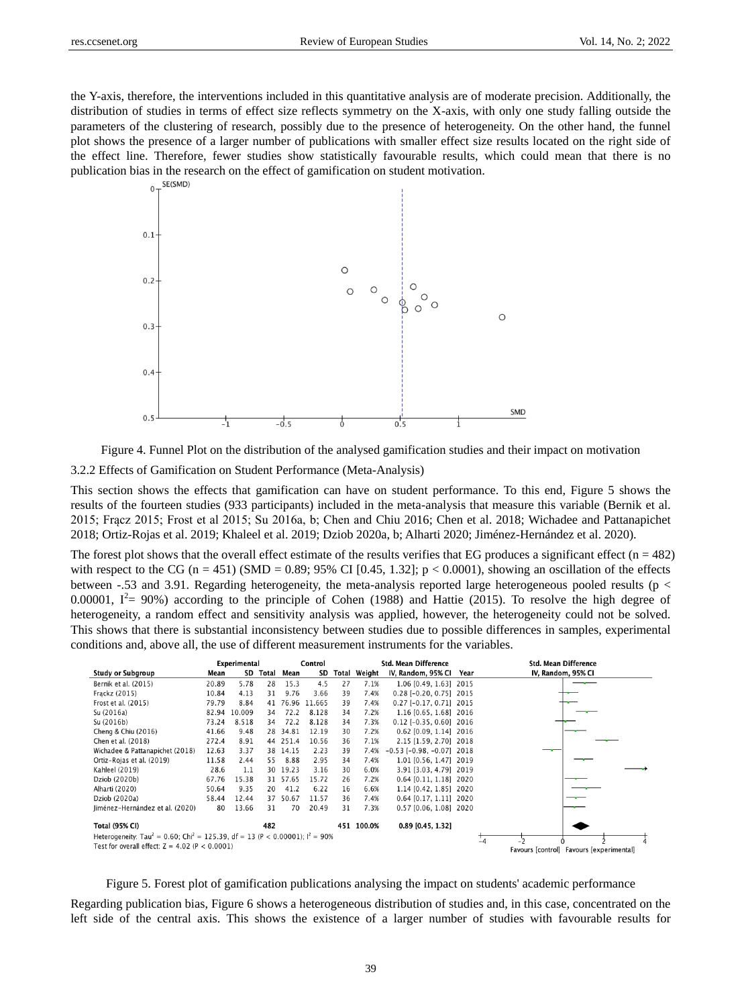the Y-axis, therefore, the interventions included in this quantitative analysis are of moderate precision. Additionally, the distribution of studies in terms of effect size reflects symmetry on the X-axis, with only one study falling outside the parameters of the clustering of research, possibly due to the presence of heterogeneity. On the other hand, the funnel plot shows the presence of a larger number of publications with smaller effect size results located on the right side of the effect line. Therefore, fewer studies show statistically favourable results, which could mean that there is no publication bias in the research on the effect of gamification on student motivation.



Figure 4. Funnel Plot on the distribution of the analysed gamification studies and their impact on motivation

3.2.2 Effects of Gamification on Student Performance (Meta-Analysis)

This section shows the effects that gamification can have on student performance. To this end, Figure 5 shows the results of the fourteen studies (933 participants) included in the meta-analysis that measure this variable (Bernik et al. 2015; Frącz 2015; Frost et al 2015; Su 2016a, b; Chen and Chiu 2016; Chen et al. 2018; Wichadee and Pattanapichet 2018; Ortiz-Rojas et al. 2019; Khaleel et al. 2019; Dziob 2020a, b; Alharti 2020; Jiménez-Hernández et al. 2020).

The forest plot shows that the overall effect estimate of the results verifies that EG produces a significant effect  $(n = 482)$ with respect to the CG (n = 451) (SMD = 0.89; 95% CI [0.45, 1.32];  $p < 0.0001$ ), showing an oscillation of the effects between -.53 and 3.91. Regarding heterogeneity, the meta-analysis reported large heterogeneous pooled results (p < 0.00001,  $I^2 = 90\%$ ) according to the principle of Cohen (1988) and Hattie (2015). To resolve the high degree of heterogeneity, a random effect and sensitivity analysis was applied, however, the heterogeneity could not be solved. This shows that there is substantial inconsistency between studies due to possible differences in samples, experimental conditions and, above all, the use of different measurement instruments for the variables.

|                                                                                                       |       | Experimental |       | Control<br><b>Std. Mean Difference</b> |        |       |        |                                    | <b>Std. Mean Difference</b> |                                          |
|-------------------------------------------------------------------------------------------------------|-------|--------------|-------|----------------------------------------|--------|-------|--------|------------------------------------|-----------------------------|------------------------------------------|
| <b>Study or Subgroup</b>                                                                              | Mean  | SD           | Total | Mean                                   | SD     | Total | Weight | IV, Random, 95% CI                 | Year                        | IV, Random, 95% CI                       |
| Bernik et al. (2015)                                                                                  | 20.89 | 5.78         | 28    | 15.3                                   | 4.5    | 27    | 7.1%   | 1.06 [0.49, 1.63] 2015             |                             |                                          |
| Frackz (2015)                                                                                         | 10.84 | 4.13         | 31    | 9.76                                   | 3.66   | 39    | 7.4%   | $0.28$ [-0.20, 0.75] 2015          |                             |                                          |
| Frost et al. (2015)                                                                                   | 79.79 | 8.84         |       | 41 76.96                               | 11.665 | 39    | 7.4%   | $0.27$ [-0.17, 0.71] 2015          |                             |                                          |
| Su (2016a)                                                                                            | 82.94 | 10.009       | 34    | 72.2                                   | 8.128  | 34    | 7.2%   | 1.16 [0.65, 1.68] 2016             |                             |                                          |
| Su (2016b)                                                                                            | 73.24 | 8.518        | 34    | 72.2                                   | 8.128  | 34    | 7.3%   | $0.12$ [-0.35, 0.60] 2016          |                             |                                          |
| Cheng & Chiu (2016)                                                                                   | 41.66 | 9.48         |       | 28 34.81                               | 12.19  | 30    | 7.2%   | 0.62 [0.09, 1.14] 2016             |                             |                                          |
| Chen et al. (2018)                                                                                    | 272.4 | 8.91         |       | 44 251.4                               | 10.56  | 36    | 7.1%   | 2.15 [1.59, 2.70] 2018             |                             |                                          |
| Wichadee & Pattanapichet (2018)                                                                       | 12.63 | 3.37         |       | 38 14.15                               | 2.23   | 39    | 7.4%   | $-0.53$ [ $-0.98$ , $-0.07$ ] 2018 |                             |                                          |
| Ortiz-Rojas et al. (2019)                                                                             | 11.58 | 2.44         | 55    | 8.88                                   | 2.95   | 34    | 7.4%   | 1.01 [0.56, 1.47] 2019             |                             |                                          |
| Kahleel (2019)                                                                                        | 28.6  | 1.1          |       | 30 19.23                               | 3.16   | 30    | 6.0%   | 3.91 [3.03, 4.79] 2019             |                             |                                          |
| Dziob (2020b)                                                                                         | 67.76 | 15.38        |       | 31 57.65                               | 15.72  | 26    | 7.2%   | $0.64$ [0.11, 1.18] 2020           |                             |                                          |
| Alharti (2020)                                                                                        | 50.64 | 9.35         | 20    | 41.2                                   | 6.22   | 16    | 6.6%   | 1.14 [0.42, 1.85] 2020             |                             |                                          |
| Dziob (2020a)                                                                                         | 58.44 | 12.44        |       | 37 50.67                               | 11.57  | 36    | 7.4%   | 0.64 [0.17, 1.11] 2020             |                             |                                          |
| Jiménez-Hernández et al. (2020)                                                                       | 80    | 13.66        | 31    | 70                                     | 20.49  | 31    | 7.3%   | 0.57 [0.06, 1.08] 2020             |                             |                                          |
| <b>Total (95% CI)</b>                                                                                 |       |              | 482   |                                        |        | 451   | 100.0% | $0.89$ [0.45, 1.32]                |                             |                                          |
| Heterogeneity: Tau <sup>2</sup> = 0.60; Chi <sup>2</sup> = 125.39, df = 13 (P < 0.00001); $I^2$ = 90% |       |              |       |                                        |        |       |        |                                    |                             | $\frac{1}{4}$                            |
| Test for overall effect: $Z = 4.02$ (P < 0.0001)                                                      |       |              |       |                                        |        |       |        |                                    |                             | Favours [control] Favours [experimental] |

Figure 5. Forest plot of gamification publications analysing the impact on students' academic performance

Regarding publication bias, Figure 6 shows a heterogeneous distribution of studies and, in this case, concentrated on the left side of the central axis. This shows the existence of a larger number of studies with favourable results for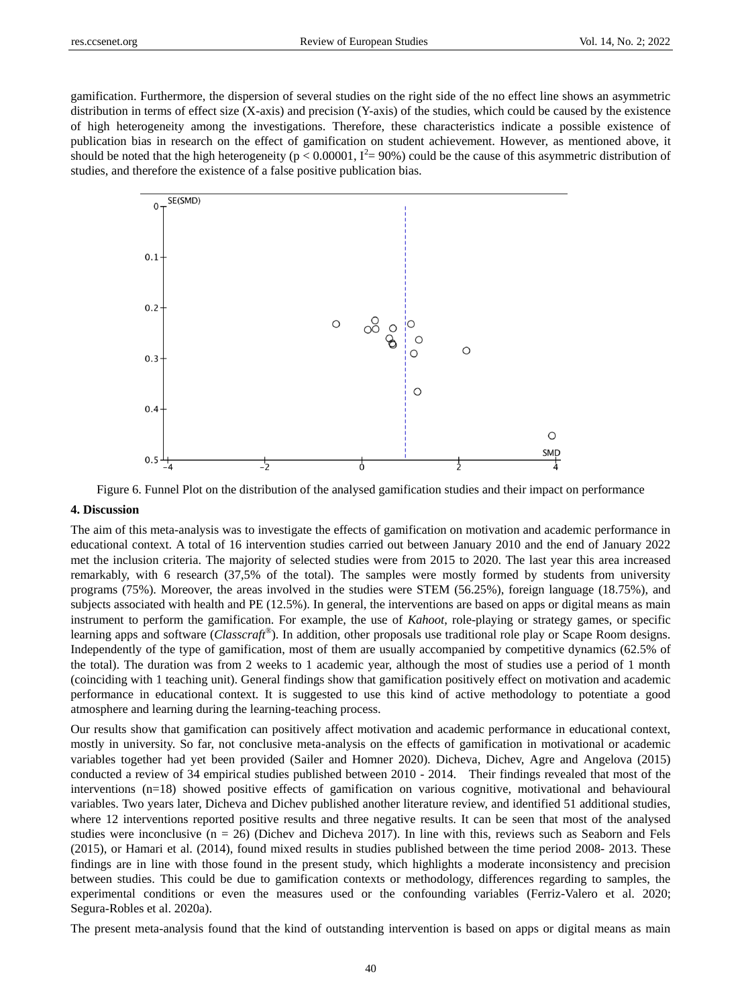gamification. Furthermore, the dispersion of several studies on the right side of the no effect line shows an asymmetric distribution in terms of effect size (X-axis) and precision (Y-axis) of the studies, which could be caused by the existence of high heterogeneity among the investigations. Therefore, these characteristics indicate a possible existence of publication bias in research on the effect of gamification on student achievement. However, as mentioned above, it should be noted that the high heterogeneity ( $p < 0.00001$ ,  $I^2 = 90\%$ ) could be the cause of this asymmetric distribution of studies, and therefore the existence of a false positive publication bias.



Figure 6. Funnel Plot on the distribution of the analysed gamification studies and their impact on performance

## **4. Discussion**

The aim of this meta-analysis was to investigate the effects of gamification on motivation and academic performance in educational context. A total of 16 intervention studies carried out between January 2010 and the end of January 2022 met the inclusion criteria. The majority of selected studies were from 2015 to 2020. The last year this area increased remarkably, with 6 research (37,5% of the total). The samples were mostly formed by students from university programs (75%). Moreover, the areas involved in the studies were STEM (56.25%), foreign language (18.75%), and subjects associated with health and PE (12.5%). In general, the interventions are based on apps or digital means as main instrument to perform the gamification. For example, the use of *Kahoot*, role-playing or strategy games, or specific learning apps and software (*Classcraft®* ). In addition, other proposals use traditional role play or Scape Room designs. Independently of the type of gamification, most of them are usually accompanied by competitive dynamics (62.5% of the total). The duration was from 2 weeks to 1 academic year, although the most of studies use a period of 1 month (coinciding with 1 teaching unit). General findings show that gamification positively effect on motivation and academic performance in educational context. It is suggested to use this kind of active methodology to potentiate a good atmosphere and learning during the learning-teaching process.

Our results show that gamification can positively affect motivation and academic performance in educational context, mostly in university. So far, not conclusive meta-analysis on the effects of gamification in motivational or academic variables together had yet been provided (Sailer and Homner 2020). Dicheva, Dichev, Agre and Angelova (2015) conducted a review of 34 empirical studies published between 2010 - 2014. Their findings revealed that most of the interventions (n=18) showed positive effects of gamification on various cognitive, motivational and behavioural variables. Two years later, Dicheva and Dichev published another literature review, and identified 51 additional studies, where 12 interventions reported positive results and three negative results. It can be seen that most of the analysed studies were inconclusive ( $n = 26$ ) (Dichev and Dicheva 2017). In line with this, reviews such as Seaborn and Fels (2015), or Hamari et al. (2014), found mixed results in studies published between the time period 2008- 2013. These findings are in line with those found in the present study, which highlights a moderate inconsistency and precision between studies. This could be due to gamification contexts or methodology, differences regarding to samples, the experimental conditions or even the measures used or the confounding variables (Ferriz-Valero et al. 2020; Segura-Robles et al. 2020a).

The present meta-analysis found that the kind of outstanding intervention is based on apps or digital means as main

40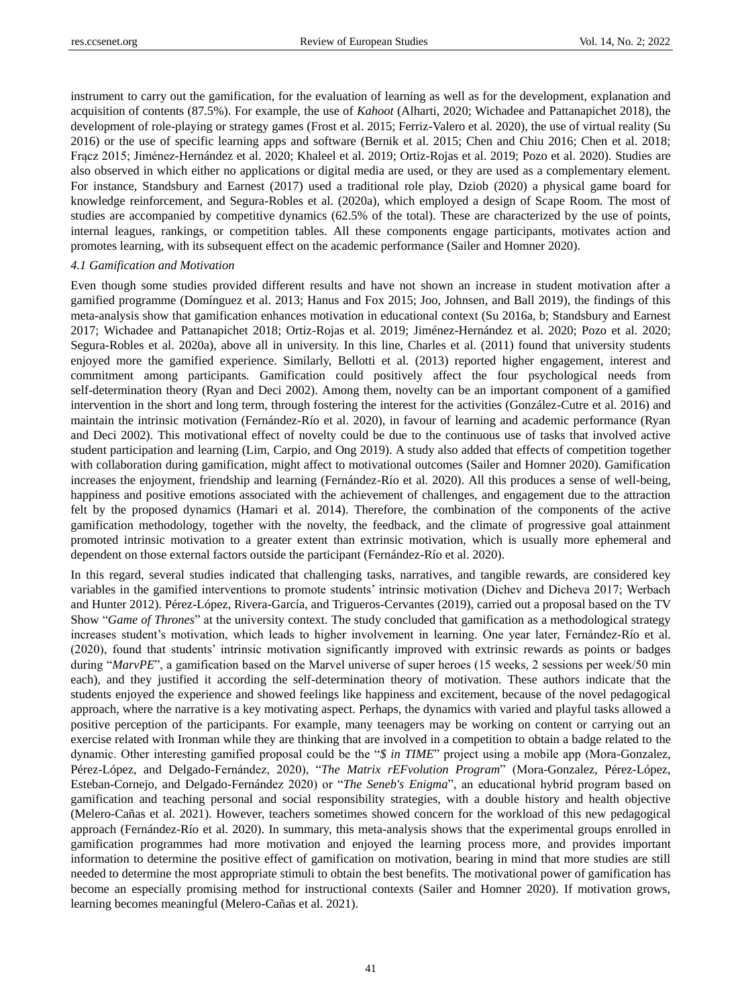instrument to carry out the gamification, for the evaluation of learning as well as for the development, explanation and acquisition of contents (87.5%). For example, the use of *Kahoot* (Alharti, 2020; Wichadee and Pattanapichet 2018), the development of role-playing or strategy games (Frost et al. 2015; Ferriz-Valero et al. 2020), the use of virtual reality (Su 2016) or the use of specific learning apps and software (Bernik et al. 2015; Chen and Chiu 2016; Chen et al. 2018; Frącz 2015; Jiménez-Hernández et al. 2020; Khaleel et al. 2019; Ortiz-Rojas et al. 2019; Pozo et al. 2020). Studies are also observed in which either no applications or digital media are used, or they are used as a complementary element. For instance, Standsbury and Earnest (2017) used a traditional role play, Dziob (2020) a physical game board for knowledge reinforcement, and Segura-Robles et al. (2020a), which employed a design of Scape Room. The most of studies are accompanied by competitive dynamics (62.5% of the total). These are characterized by the use of points, internal leagues, rankings, or competition tables. All these components engage participants, motivates action and promotes learning, with its subsequent effect on the academic performance (Sailer and Homner 2020).

## *4.1 Gamification and Motivation*

Even though some studies provided different results and have not shown an increase in student motivation after a gamified programme (Domínguez et al. 2013; Hanus and Fox 2015; Joo, Johnsen, and Ball 2019), the findings of this meta-analysis show that gamification enhances motivation in educational context (Su 2016a, b; Standsbury and Earnest 2017; Wichadee and Pattanapichet 2018; Ortiz-Rojas et al. 2019; Jiménez-Hernández et al. 2020; Pozo et al. 2020; Segura-Robles et al. 2020a), above all in university. In this line, Charles et al. (2011) found that university students enjoyed more the gamified experience. Similarly, Bellotti et al. (2013) reported higher engagement, interest and commitment among participants. Gamification could positively affect the four psychological needs from self-determination theory (Ryan and Deci 2002). Among them, novelty can be an important component of a gamified intervention in the short and long term, through fostering the interest for the activities (González-Cutre et al. 2016) and maintain the intrinsic motivation (Fern ández-R ó et al. 2020), in favour of learning and academic performance (Ryan and Deci 2002). This motivational effect of novelty could be due to the continuous use of tasks that involved active student participation and learning (Lim, Carpio, and Ong 2019). A study also added that effects of competition together with collaboration during gamification, might affect to motivational outcomes (Sailer and Homner 2020). Gamification increases the enjoyment, friendship and learning (Fern ández-R  $6$  et al. 2020). All this produces a sense of well-being, happiness and positive emotions associated with the achievement of challenges, and engagement due to the attraction felt by the proposed dynamics (Hamari et al. 2014). Therefore, the combination of the components of the active gamification methodology, together with the novelty, the feedback, and the climate of progressive goal attainment promoted intrinsic motivation to a greater extent than extrinsic motivation, which is usually more ephemeral and dependent on those external factors outside the participant (Fern ández-R ó et al. 2020).

In this regard, several studies indicated that challenging tasks, narratives, and tangible rewards, are considered key variables in the gamified interventions to promote students' intrinsic motivation (Dichev and Dicheva 2017; Werbach and Hunter 2012). Pérez-López, Rivera-García, and Trigueros-Cervantes (2019), carried out a proposal based on the TV Show "*Game of Thrones*" at the university context. The study concluded that gamification as a methodological strategy increases student's motivation, which leads to higher involvement in learning. One year later, Fernández-R ó et al. (2020), found that students' intrinsic motivation significantly improved with extrinsic rewards as points or badges during "*MarvPE*", a gamification based on the Marvel universe of super heroes (15 weeks, 2 sessions per week/50 min each), and they justified it according the self-determination theory of motivation. These authors indicate that the students enjoyed the experience and showed feelings like happiness and excitement, because of the novel pedagogical approach, where the narrative is a key motivating aspect. Perhaps, the dynamics with varied and playful tasks allowed a positive perception of the participants. For example, many teenagers may be working on content or carrying out an exercise related with Ironman while they are thinking that are involved in a competition to obtain a badge related to the dynamic. Other interesting gamified proposal could be the "*\$ in TIME*" project using a mobile app (Mora-Gonzalez, Pérez-López, and Delgado-Fernández, 2020), "*The Matrix rEFvolution Program*" (Mora-Gonzalez, Pérez-López, Esteban-Cornejo, and Delgado-Fernández 2020) or "*The Seneb's Enigma*", an educational hybrid program based on gamification and teaching personal and social responsibility strategies, with a double history and health objective (Melero-Cañas et al. 2021). However, teachers sometimes showed concern for the workload of this new pedagogical approach (Fernández-Río et al. 2020). In summary, this meta-analysis shows that the experimental groups enrolled in gamification programmes had more motivation and enjoyed the learning process more, and provides important information to determine the positive effect of gamification on motivation, bearing in mind that more studies are still needed to determine the most appropriate stimuli to obtain the best benefits. The motivational power of gamification has become an especially promising method for instructional contexts (Sailer and Homner 2020). If motivation grows, learning becomes meaningful (Melero-Cañas et al. 2021).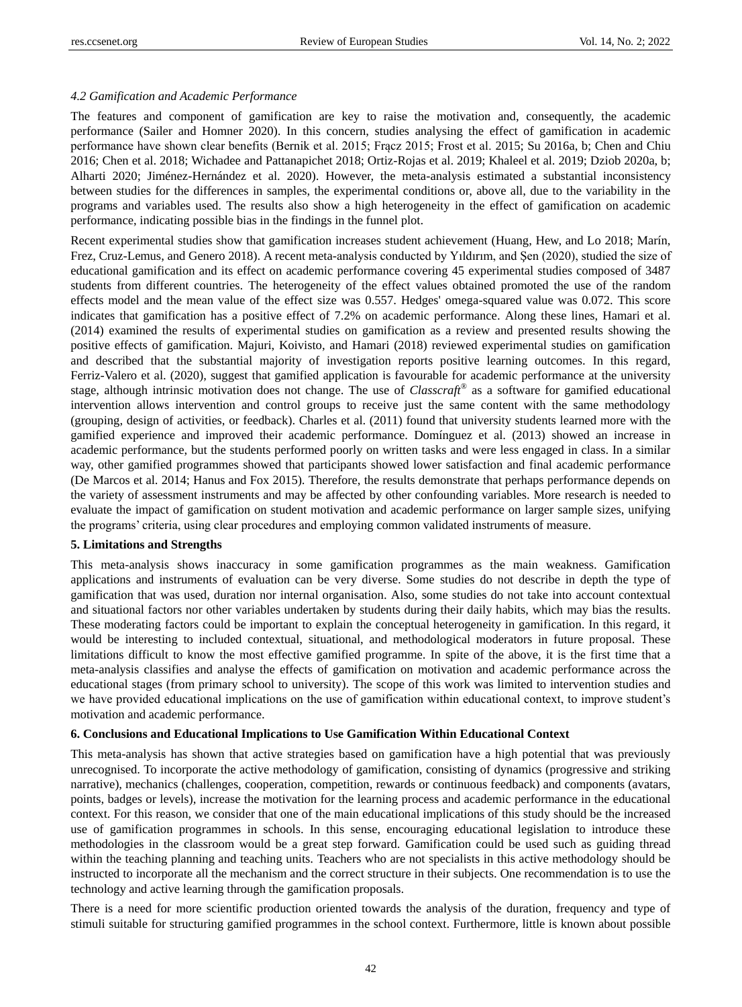## *4.2 Gamification and Academic Performance*

The features and component of gamification are key to raise the motivation and, consequently, the academic performance (Sailer and Homner 2020). In this concern, studies analysing the effect of gamification in academic performance have shown clear benefits (Bernik et al. 2015; Frącz 2015; Frost et al. 2015; Su 2016a, b; Chen and Chiu 2016; Chen et al. 2018; Wichadee and Pattanapichet 2018; Ortiz-Rojas et al. 2019; Khaleel et al. 2019; Dziob 2020a, b; Alharti 2020; Jiménez-Hernández et al. 2020). However, the meta-analysis estimated a substantial inconsistency between studies for the differences in samples, the experimental conditions or, above all, due to the variability in the programs and variables used. The results also show a high heterogeneity in the effect of gamification on academic performance, indicating possible bias in the findings in the funnel plot.

Recent experimental studies show that gamification increases student achievement (Huang, Hew, and Lo 2018; Mar *fi*, Frez, Cruz-Lemus, and Genero 2018). A recent meta-analysis conducted by Yıldırım, and Şen (2020), studied the size of educational gamification and its effect on academic performance covering 45 experimental studies composed of 3487 students from different countries. The heterogeneity of the effect values obtained promoted the use of the random effects model and the mean value of the effect size was 0.557. Hedges' omega-squared value was 0.072. This score indicates that gamification has a positive effect of 7.2% on academic performance. Along these lines, Hamari et al. (2014) examined the results of experimental studies on gamification as a review and presented results showing the positive effects of gamification. Majuri, Koivisto, and Hamari (2018) reviewed experimental studies on gamification and described that the substantial majority of investigation reports positive learning outcomes. In this regard, Ferriz-Valero et al. (2020), suggest that gamified application is favourable for academic performance at the university stage, although intrinsic motivation does not change. The use of *Classcraft*® as a software for gamified educational intervention allows intervention and control groups to receive just the same content with the same methodology (grouping, design of activities, or feedback). Charles et al. (2011) found that university students learned more with the gamified experience and improved their academic performance. Domínguez et al. (2013) showed an increase in academic performance, but the students performed poorly on written tasks and were less engaged in class. In a similar way, other gamified programmes showed that participants showed lower satisfaction and final academic performance (De Marcos et al. 2014; Hanus and Fox 2015). Therefore, the results demonstrate that perhaps performance depends on the variety of assessment instruments and may be affected by other confounding variables. More research is needed to evaluate the impact of gamification on student motivation and academic performance on larger sample sizes, unifying the programs' criteria, using clear procedures and employing common validated instruments of measure.

#### **5. Limitations and Strengths**

This meta-analysis shows inaccuracy in some gamification programmes as the main weakness. Gamification applications and instruments of evaluation can be very diverse. Some studies do not describe in depth the type of gamification that was used, duration nor internal organisation. Also, some studies do not take into account contextual and situational factors nor other variables undertaken by students during their daily habits, which may bias the results. These moderating factors could be important to explain the conceptual heterogeneity in gamification. In this regard, it would be interesting to included contextual, situational, and methodological moderators in future proposal. These limitations difficult to know the most effective gamified programme. In spite of the above, it is the first time that a meta-analysis classifies and analyse the effects of gamification on motivation and academic performance across the educational stages (from primary school to university). The scope of this work was limited to intervention studies and we have provided educational implications on the use of gamification within educational context, to improve student's motivation and academic performance.

## **6. Conclusions and Educational Implications to Use Gamification Within Educational Context**

This meta-analysis has shown that active strategies based on gamification have a high potential that was previously unrecognised. To incorporate the active methodology of gamification, consisting of dynamics (progressive and striking narrative), mechanics (challenges, cooperation, competition, rewards or continuous feedback) and components (avatars, points, badges or levels), increase the motivation for the learning process and academic performance in the educational context. For this reason, we consider that one of the main educational implications of this study should be the increased use of gamification programmes in schools. In this sense, encouraging educational legislation to introduce these methodologies in the classroom would be a great step forward. Gamification could be used such as guiding thread within the teaching planning and teaching units. Teachers who are not specialists in this active methodology should be instructed to incorporate all the mechanism and the correct structure in their subjects. One recommendation is to use the technology and active learning through the gamification proposals.

There is a need for more scientific production oriented towards the analysis of the duration, frequency and type of stimuli suitable for structuring gamified programmes in the school context. Furthermore, little is known about possible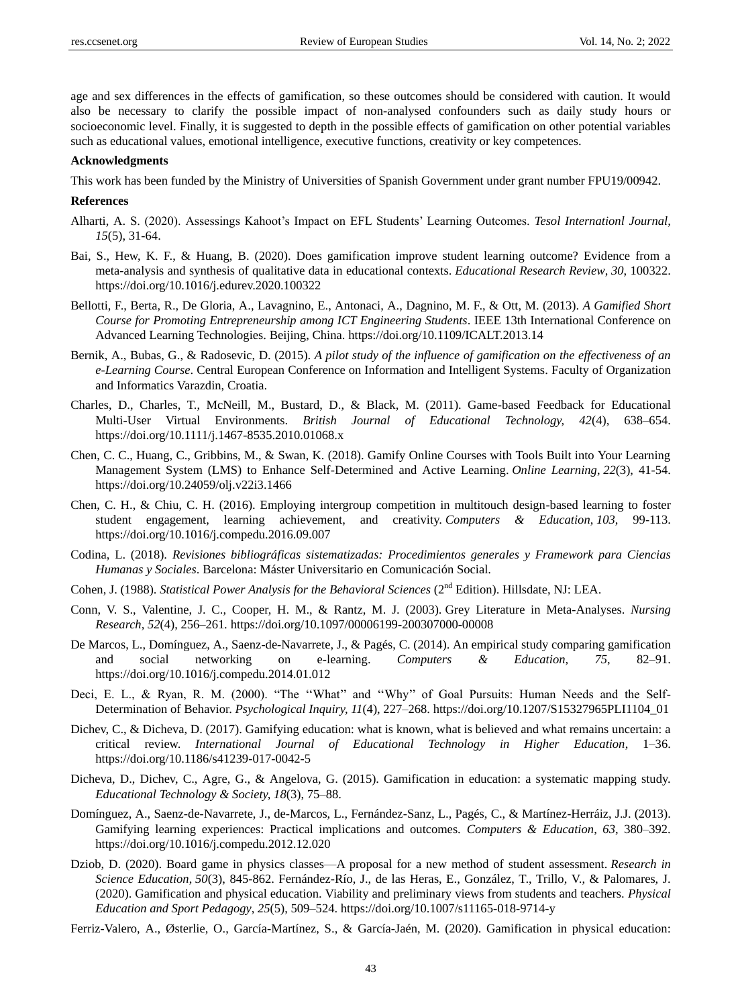age and sex differences in the effects of gamification, so these outcomes should be considered with caution. It would also be necessary to clarify the possible impact of non-analysed confounders such as daily study hours or socioeconomic level. Finally, it is suggested to depth in the possible effects of gamification on other potential variables such as educational values, emotional intelligence, executive functions, creativity or key competences.

## **Acknowledgments**

This work has been funded by the Ministry of Universities of Spanish Government under grant number FPU19/00942.

#### **References**

- Alharti, A. S. (2020). Assessings Kahoot's Impact on EFL Students' Learning Outcomes. *Tesol Internationl Journal, 15*(5), 31-64.
- Bai, S., Hew, K. F., & Huang, B. (2020). Does gamification improve student learning outcome? Evidence from a meta-analysis and synthesis of qualitative data in educational contexts. *Educational Research Review*, *30*, 100322. <https://doi.org/10.1016/j.edurev.2020.100322>
- Bellotti, F., Berta, R., De Gloria, A., Lavagnino, E., Antonaci, A., Dagnino, M. F., & Ott, M. (2013). *A Gamified Short Course for Promoting Entrepreneurship among ICT Engineering Students*. IEEE 13th International Conference on Advanced Learning Technologies. Beijing, China. <https://doi.org/10.1109/ICALT.2013.14>
- Bernik, A., Bubas, G., & Radosevic, D. (2015). *A pilot study of the influence of gamification on the effectiveness of an e-Learning Course*. Central European Conference on Information and Intelligent Systems. Faculty of Organization and Informatics Varazdin, Croatia.
- Charles, D., Charles, T., McNeill, M., Bustard, D., & Black, M. (2011). Game-based Feedback for Educational Multi-User Virtual Environments. *British Journal of Educational Technology, 42*(4), 638–654. <https://doi.org/10.1111/j.1467-8535.2010.01068.x>
- Chen, C. C., Huang, C., Gribbins, M., & Swan, K. (2018). Gamify Online Courses with Tools Built into Your Learning Management System (LMS) to Enhance Self-Determined and Active Learning. *Online Learning*, *22*(3), 41-54. <https://doi.org/10.24059/olj.v22i3.1466>
- Chen, C. H., & Chiu, C. H. (2016). Employing intergroup competition in multitouch design-based learning to foster student engagement, learning achievement, and creativity. *Computers & Education*, *103*, 99-113. <https://doi.org/10.1016/j.compedu.2016.09.007>
- Codina, L. (2018). *Revisiones bibliográficas sistematizadas: Procedimientos generales y Framework para Ciencias Humanas y Sociales*. Barcelona: Máster Universitario en Comunicación Social.
- Cohen, J. (1988). *Statistical Power Analysis for the Behavioral Sciences* (2<sup>nd</sup> Edition). Hillsdate, NJ: LEA.
- Conn, V. S., Valentine, J. C., Cooper, H. M., & Rantz, M. J. (2003). Grey Literature in Meta-Analyses. *Nursing Research, 52*(4), 256–261*.* <https://doi.org/10.1097/00006199-200307000-00008>
- De Marcos, L., Dom ínguez, A., Saenz-de-Navarrete, J., & Pag és, C. (2014). An empirical study comparing gamification and social networking on e-learning. *Computers & Education, 75*, 82–91. <https://doi.org/10.1016/j.compedu.2014.01.012>
- Deci, E. L., & Ryan, R. M. (2000). "The ''What'' and ''Why'' of Goal Pursuits: Human Needs and the Self-Determination of Behavior. *Psychological Inquiry, 11*(4), 227–268. [https://doi.org/10.1207/S15327965PLI1104\\_01](https://doi.org/10.1207/S15327965PLI1104_01)
- Dichev, C., & Dicheva, D. (2017). Gamifying education: what is known, what is believed and what remains uncertain: a critical review. *[International Journal of Educational Technology in Higher Education](https://educationaltechnologyjournal.springeropen.com/)*, 1–36. <https://doi.org/10.1186/s41239-017-0042-5>
- Dicheva, D., Dichev, C., Agre, G., & Angelova, G. (2015). Gamification in education: a systematic mapping study. *Educational Technology & Society, 18*(3), 75–88.
- Dom ínguez, A., Saenz-de-Navarrete, J., de-Marcos, L., Fern ández-Sanz, L., Pag és, C., & Mart ínez-Herráz, J.J. (2013). Gamifying learning experiences: Practical implications and outcomes. *Computers & Education*, *63*, 380–392. <https://doi.org/10.1016/j.compedu.2012.12.020>
- Dziob, D. (2020). Board game in physics classes—A proposal for a new method of student assessment. *Research in Science Education*, *50*(3), 845-862. Fernández-Río, J., de las Heras, E., González, T., Trillo, V., & Palomares, J. (2020). Gamification and physical education. Viability and preliminary views from students and teachers. *Physical Education and Sport Pedagogy*, *25*(5), 509–524[. https://doi.org/10.1007/s11165-018-9714-y](https://doi.org/10.1007/s11165-018-9714-y)
- Ferriz-Valero, A., Østerlie, O., Garc á-Mart ínez, S., & Garc á-Ja án, M. (2020). Gamification in physical education: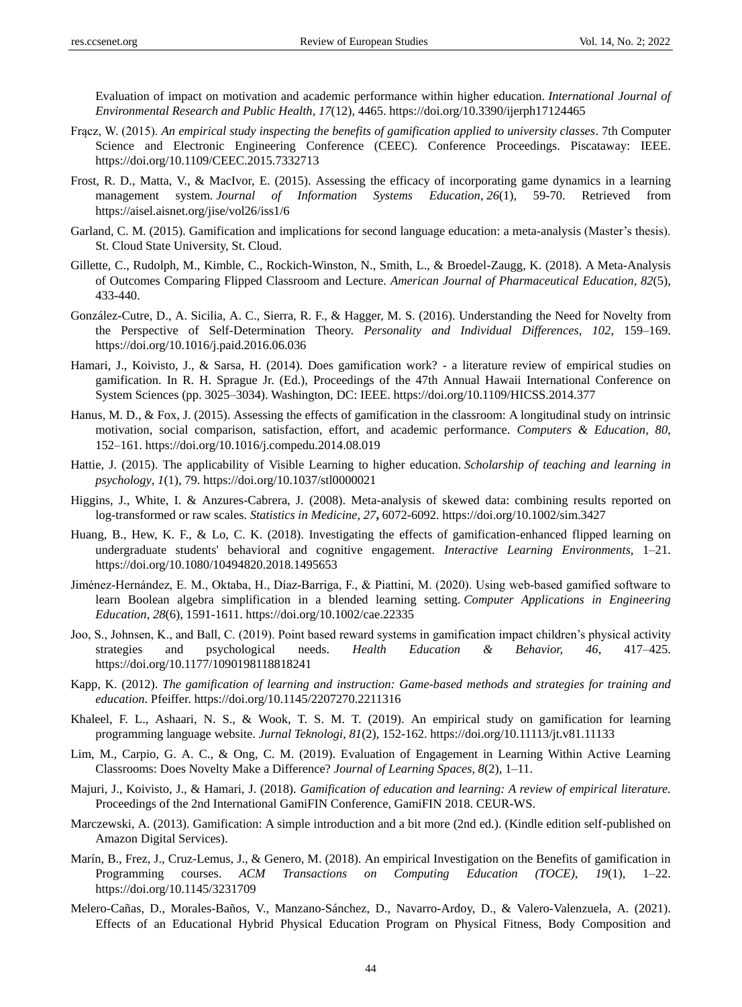Evaluation of impact on motivation and academic performance within higher education. *International Journal of Environmental Research and Public Health*, *17*(12), 4465[. https://doi.org/10.3390/ijerph17124465](https://doi.org/10.3390/ijerph17124465)

- Frącz, W. (2015). *An empirical study inspecting the benefits of gamification applied to university classes*. 7th Computer Science and Electronic Engineering Conference (CEEC). Conference Proceedings. Piscataway: IEEE. <https://doi.org/10.1109/CEEC.2015.7332713>
- Frost, R. D., Matta, V., & MacIvor, E. (2015). Assessing the efficacy of incorporating game dynamics in a learning management system. *Journal of Information Systems Education*, *26*(1), 59-70. Retrieved from <https://aisel.aisnet.org/jise/vol26/iss1/6>
- Garland, C. M. (2015). Gamification and implications for second language education: a meta-analysis (Master's thesis). St. Cloud State University, St. Cloud.
- Gillette, C., Rudolph, M., Kimble, C., Rockich-Winston, N., Smith, L., & Broedel-Zaugg, K. (2018). A Meta-Analysis of Outcomes Comparing Flipped Classroom and Lecture. *American Journal of Pharmaceutical Education*, *82*(5), 433-440.
- González-Cutre, D., A. Sicilia, A. C., Sierra, R. F., & Hagger, M. S. (2016). Understanding the Need for Novelty from the Perspective of Self-Determination Theory. *Personality and Individual Differences, 102*, 159–169. <https://doi.org/10.1016/j.paid.2016.06.036>
- Hamari, J., Koivisto, J., & Sarsa, H. (2014). Does gamification work? a literature review of empirical studies on gamification. In R. H. Sprague Jr. (Ed.), Proceedings of the 47th Annual Hawaii International Conference on System Sciences (pp. 3025–3034). Washington, DC: IEEE.<https://doi.org/10.1109/HICSS.2014.377>
- Hanus, M. D., & Fox, J. (2015). Assessing the effects of gamification in the classroom: A longitudinal study on intrinsic motivation, social comparison, satisfaction, effort, and academic performance. *Computers & Education, 80*, 152–161[. https://doi.org/10.1016/j.compedu.2014.08.019](https://doi.org/10.1016/j.compedu.2014.08.019)
- Hattie, J. (2015). The applicability of Visible Learning to higher education. *Scholarship of teaching and learning in psychology*, *1*(1), 79.<https://doi.org/10.1037/stl0000021>
- Higgins, J., White, I. & Anzures-Cabrera, J. (2008). Meta-analysis of skewed data: combining results reported on log-transformed or raw scales. *Statistics in Medicine, 27***,** 6072-6092. <https://doi.org/10.1002/sim.3427>
- Huang, B., Hew, K. F., & Lo, C. K. (2018). Investigating the effects of gamification-enhanced flipped learning on undergraduate students' behavioral and cognitive engagement. *Interactive Learning Environments,* 1–21. <https://doi.org/10.1080/10494820.2018.1495653>
- Jiménez‐Hernández, E. M., Oktaba, H., Díaz‐Barriga, F., & Piattini, M. (2020). Using web‐based gamified software to learn Boolean algebra simplification in a blended learning setting. *Computer Applications in Engineering Education*, *28*(6), 1591-1611.<https://doi.org/10.1002/cae.22335>
- Joo, S., Johnsen, K., and Ball, C. (2019). Point based reward systems in gamification impact children's physical activity strategies and psychological needs. *Health Education & Behavior, 46*, 417–425. <https://doi.org/10.1177/1090198118818241>
- Kapp, K. (2012). *The gamification of learning and instruction: Game-based methods and strategies for training and education*. Pfeiffer. <https://doi.org/10.1145/2207270.2211316>
- Khaleel, F. L., Ashaari, N. S., & Wook, T. S. M. T. (2019). An empirical study on gamification for learning programming language website. *Jurnal Teknologi*, *81*(2), 152-162[. https://doi.org/10.11113/jt.v81.11133](https://doi.org/10.11113/jt.v81.11133)
- Lim, M., Carpio, G. A. C., & Ong, C. M. (2019). Evaluation of Engagement in Learning Within Active Learning Classrooms: Does Novelty Make a Difference? *Journal of Learning Spaces, 8*(2), 1–11.
- Majuri, J., Koivisto, J., & Hamari, J. (2018). *Gamification of education and learning: A review of empirical literature.*  Proceedings of the 2nd International GamiFIN Conference, GamiFIN 2018. CEUR-WS.
- Marczewski, A. (2013). Gamification: A simple introduction and a bit more (2nd ed.). (Kindle edition self-published on Amazon Digital Services).
- Mar ín, B., Frez, J., Cruz-Lemus, J., & Genero, M. (2018). An empirical Investigation on the Benefits of gamification in Programming courses. *ACM Transactions on Computing Education (TOCE), 19*(1), 1–22. <https://doi.org/10.1145/3231709>
- Melero-Cañas, D., Morales-Baños, V., Manzano-Sánchez, D., Navarro-Ardoy, D., & Valero-Valenzuela, A. (2021). Effects of an Educational Hybrid Physical Education Program on Physical Fitness, Body Composition and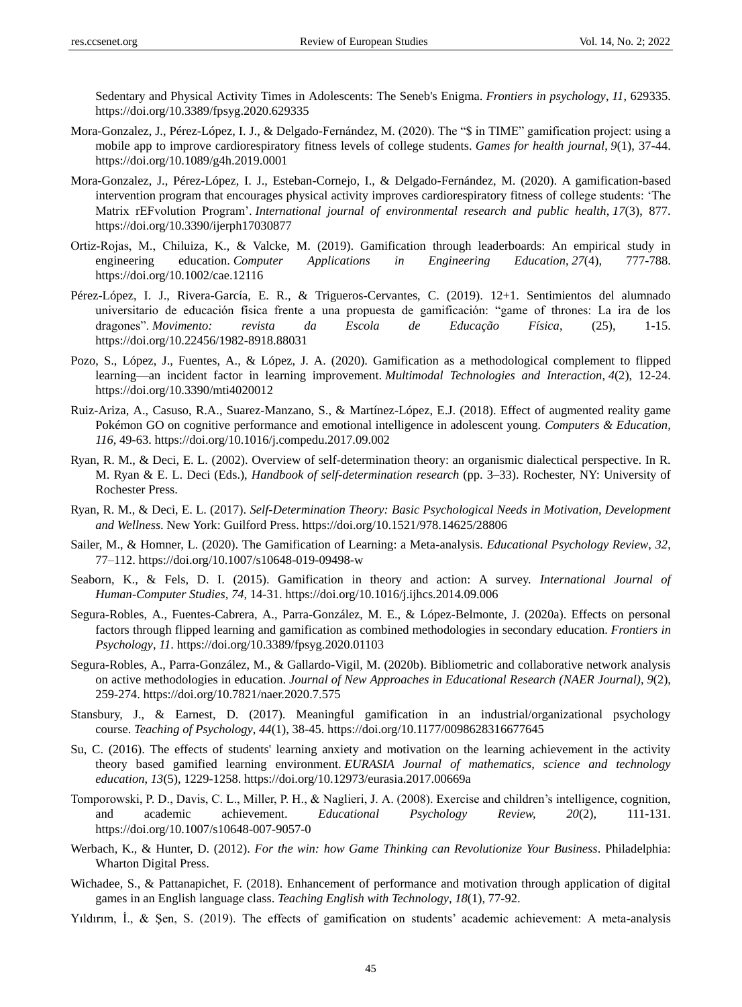Sedentary and Physical Activity Times in Adolescents: The Seneb's Enigma. *Frontiers in psychology*, *11*, 629335. <https://doi.org/10.3389/fpsyg.2020.629335>

- Mora-Gonzalez, J., Pérez-López, I. J., & Delgado-Fernández, M. (2020). The "\$ in TIME" gamification project: using a mobile app to improve cardiorespiratory fitness levels of college students. *Games for health journal*, *9*(1), 37-44. <https://doi.org/10.1089/g4h.2019.0001>
- Mora-Gonzalez, J., Pérez-López, I. J., Esteban-Cornejo, I., & Delgado-Fernández, M. (2020). A gamification-based intervention program that encourages physical activity improves cardiorespiratory fitness of college students: 'The Matrix rEFvolution Program'. *International journal of environmental research and public health*, *17*(3), 877. <https://doi.org/10.3390/ijerph17030877>
- Ortiz‐Rojas, M., Chiluiza, K., & Valcke, M. (2019). Gamification through leaderboards: An empirical study in engineering education. *Computer Applications in Engineering Education*, *27*(4), 777-788. <https://doi.org/10.1002/cae.12116>
- Pérez-López, I. J., Rivera-García, E. R., & Trigueros-Cervantes, C. (2019). 12+1. Sentimientos del alumnado universitario de educación física frente a una propuesta de gamificación: "game of thrones: La ira de los dragones". *Movimento: revista da Escola de Educação Física*, (25), 1-15. <https://doi.org/10.22456/1982-8918.88031>
- Pozo, S., López, J., Fuentes, A., & López, J. A. (2020). Gamification as a methodological complement to flipped learning—an incident factor in learning improvement. *Multimodal Technologies and Interaction*, *4*(2), 12-24. <https://doi.org/10.3390/mti4020012>
- Ruiz-Ariza, A., Casuso, R.A., Suarez-Manzano, S., & Mart nez-López, E.J. (2018). Effect of augmented reality game Pokémon GO on cognitive performance and emotional intelligence in adolescent young. *Computers & Education, 116*, 49-63.<https://doi.org/10.1016/j.compedu.2017.09.002>
- Ryan, R. M., & Deci, E. L. (2002). Overview of self-determination theory: an organismic dialectical perspective. In R. M. Ryan & E. L. Deci (Eds.), *Handbook of self-determination research* (pp. 3–33). Rochester, NY: University of Rochester Press.
- Ryan, R. M., & Deci, E. L. (2017). *Self-Determination Theory: Basic Psychological Needs in Motivation, Development and Wellness*. New York: Guilford Press. <https://doi.org/10.1521/978.14625/28806>
- Sailer, M., & Homner, L. (2020). The Gamification of Learning: a Meta-analysis. *Educational Psychology Review*, *32*, 77–112.<https://doi.org/10.1007/s10648-019-09498-w>
- Seaborn, K., & Fels, D. I. (2015). Gamification in theory and action: A survey. *International Journal of Human-Computer Studies, 74*, 14-31.<https://doi.org/10.1016/j.ijhcs.2014.09.006>
- Segura-Robles, A., Fuentes-Cabrera, A., Parra-González, M. E., & López-Belmonte, J. (2020a). Effects on personal factors through flipped learning and gamification as combined methodologies in secondary education. *Frontiers in Psychology*, *11*.<https://doi.org/10.3389/fpsyg.2020.01103>
- Segura-Robles, A., Parra-González, M., & Gallardo-Vigil, M. (2020b). Bibliometric and collaborative network analysis on active methodologies in education. *Journal of New Approaches in Educational Research (NAER Journal)*, *9*(2), 259-274.<https://doi.org/10.7821/naer.2020.7.575>
- Stansbury, J., & Earnest, D. (2017). Meaningful gamification in an industrial/organizational psychology course. *Teaching of Psychology*, *44*(1), 38-45.<https://doi.org/10.1177/0098628316677645>
- Su, C. (2016). The effects of students' learning anxiety and motivation on the learning achievement in the activity theory based gamified learning environment. *EURASIA Journal of mathematics, science and technology education*, *13*(5), 1229-1258.<https://doi.org/10.12973/eurasia.2017.00669a>
- Tomporowski, P. D., Davis, C. L., Miller, P. H., & Naglieri, J. A. (2008). Exercise and children's intelligence, cognition, and academic achievement. *Educational Psychology Review, 20*(2), 111-131. <https://doi.org/10.1007/s10648-007-9057-0>
- Werbach, K., & Hunter, D. (2012). *For the win: how Game Thinking can Revolutionize Your Business*. Philadelphia: Wharton Digital Press.
- Wichadee, S., & Pattanapichet, F. (2018). Enhancement of performance and motivation through application of digital games in an English language class. *Teaching English with Technology*, *18*(1), 77-92.
- Yıldırım, İ., & Şen, S. (2019). The effects of gamification on students' academic achievement: A meta-analysis